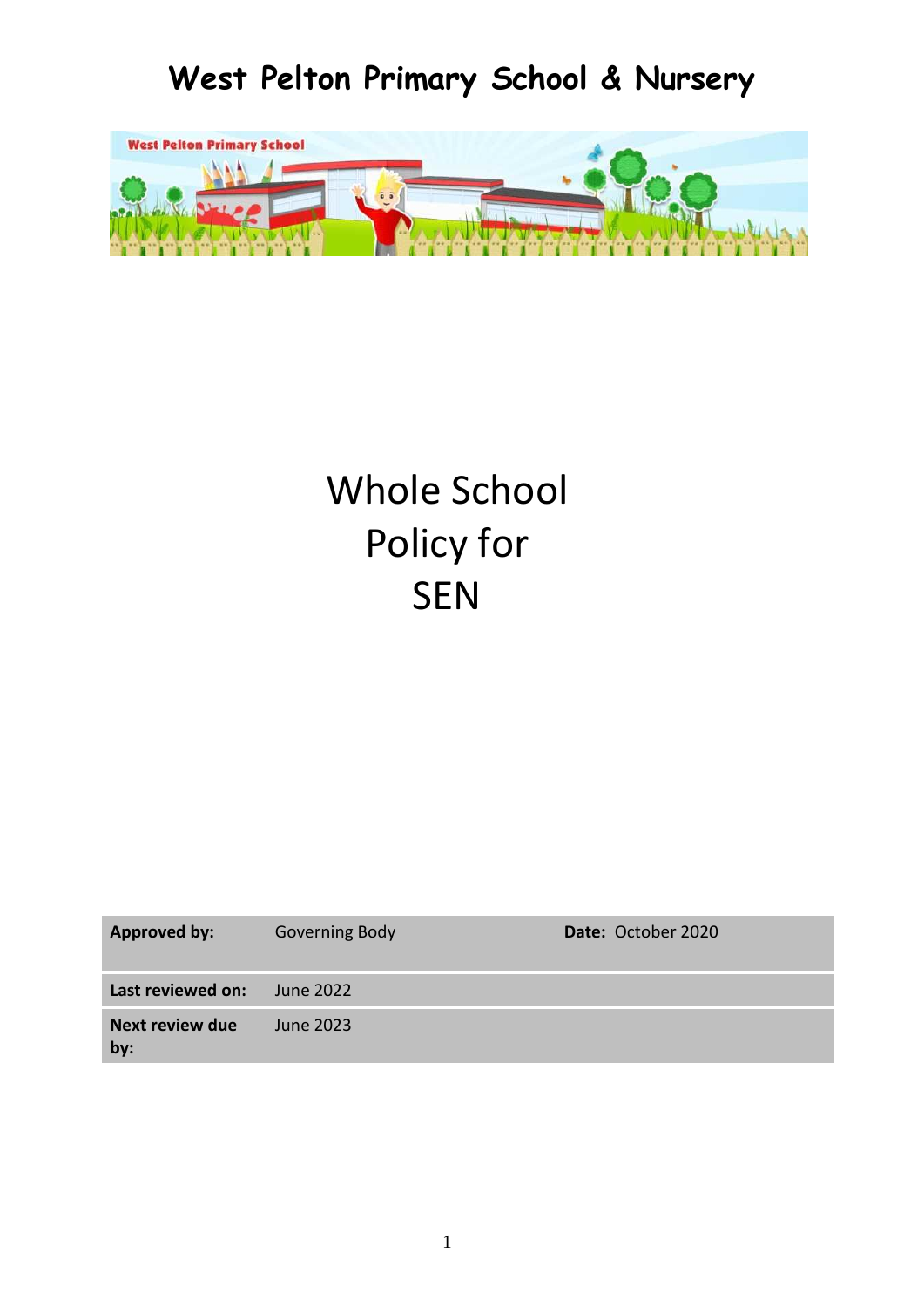# **West Pelton Primary School & Nursery**



# Whole School Policy for **SEN**

| <b>Approved by:</b>           | <b>Governing Body</b> | Date: October 2020 |
|-------------------------------|-----------------------|--------------------|
| Last reviewed on:             | June 2022             |                    |
| <b>Next review due</b><br>by: | June 2023             |                    |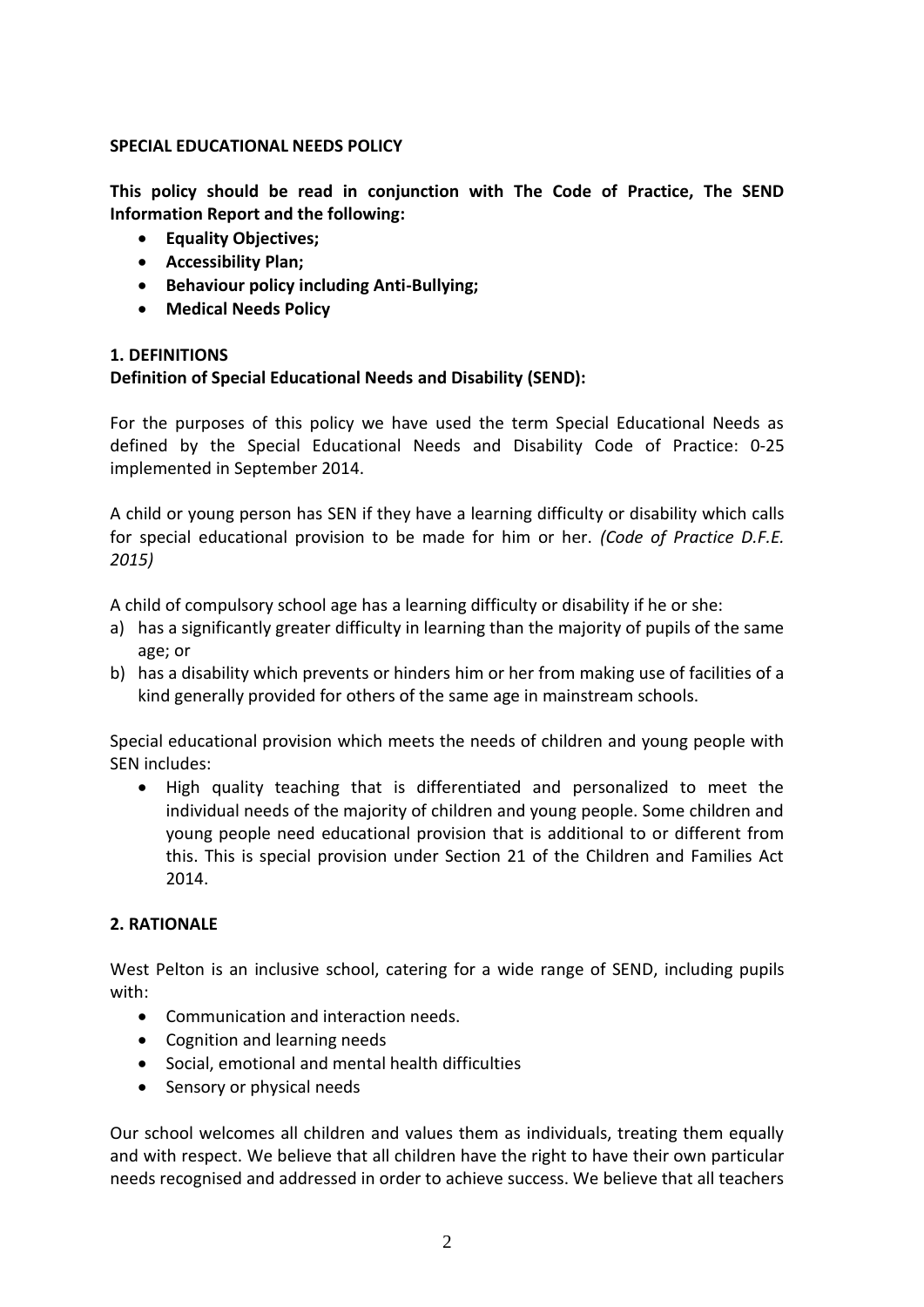#### **SPECIAL EDUCATIONAL NEEDS POLICY**

**This policy should be read in conjunction with The Code of Practice, The SEND Information Report and the following:**

- **Equality Objectives;**
- **Accessibility Plan;**
- **Behaviour policy including Anti-Bullying;**
- **Medical Needs Policy**

# **1. DEFINITIONS**

# **Definition of Special Educational Needs and Disability (SEND):**

For the purposes of this policy we have used the term Special Educational Needs as defined by the Special Educational Needs and Disability Code of Practice: 0-25 implemented in September 2014.

A child or young person has SEN if they have a learning difficulty or disability which calls for special educational provision to be made for him or her. *(Code of Practice D.F.E. 2015)* 

A child of compulsory school age has a learning difficulty or disability if he or she:

- a) has a significantly greater difficulty in learning than the majority of pupils of the same age; or
- b) has a disability which prevents or hinders him or her from making use of facilities of a kind generally provided for others of the same age in mainstream schools.

Special educational provision which meets the needs of children and young people with SEN includes:

• High quality teaching that is differentiated and personalized to meet the individual needs of the majority of children and young people. Some children and young people need educational provision that is additional to or different from this. This is special provision under Section 21 of the Children and Families Act 2014.

# **2. RATIONALE**

West Pelton is an inclusive school, catering for a wide range of SEND, including pupils with:

- Communication and interaction needs.
- Cognition and learning needs
- Social, emotional and mental health difficulties
- Sensory or physical needs

Our school welcomes all children and values them as individuals, treating them equally and with respect. We believe that all children have the right to have their own particular needs recognised and addressed in order to achieve success. We believe that all teachers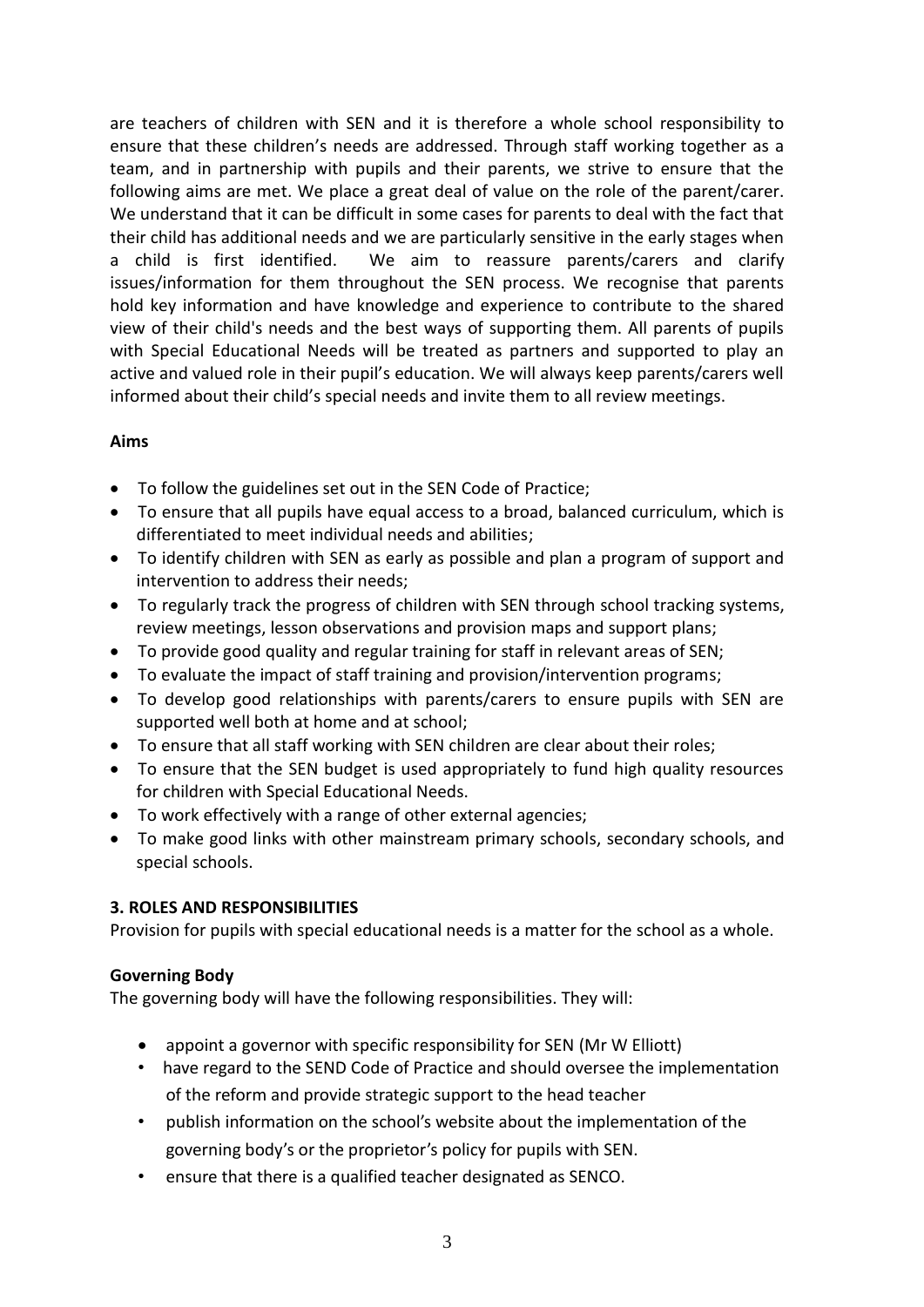are teachers of children with SEN and it is therefore a whole school responsibility to ensure that these children's needs are addressed. Through staff working together as a team, and in partnership with pupils and their parents, we strive to ensure that the following aims are met. We place a great deal of value on the role of the parent/carer. We understand that it can be difficult in some cases for parents to deal with the fact that their child has additional needs and we are particularly sensitive in the early stages when a child is first identified. We aim to reassure parents/carers and clarify issues/information for them throughout the SEN process. We recognise that parents hold key information and have knowledge and experience to contribute to the shared view of their child's needs and the best ways of supporting them. All parents of pupils with Special Educational Needs will be treated as partners and supported to play an active and valued role in their pupil's education. We will always keep parents/carers well informed about their child's special needs and invite them to all review meetings.

#### **Aims**

- To follow the guidelines set out in the SEN Code of Practice;
- To ensure that all pupils have equal access to a broad, balanced curriculum, which is differentiated to meet individual needs and abilities;
- To identify children with SEN as early as possible and plan a program of support and intervention to address their needs;
- To regularly track the progress of children with SEN through school tracking systems, review meetings, lesson observations and provision maps and support plans;
- To provide good quality and regular training for staff in relevant areas of SEN;
- To evaluate the impact of staff training and provision/intervention programs;
- To develop good relationships with parents/carers to ensure pupils with SEN are supported well both at home and at school;
- To ensure that all staff working with SEN children are clear about their roles;
- To ensure that the SEN budget is used appropriately to fund high quality resources for children with Special Educational Needs.
- To work effectively with a range of other external agencies;
- To make good links with other mainstream primary schools, secondary schools, and special schools.

#### **3. ROLES AND RESPONSIBILITIES**

Provision for pupils with special educational needs is a matter for the school as a whole.

#### **Governing Body**

The governing body will have the following responsibilities. They will:

- appoint a governor with specific responsibility for SEN (Mr W Elliott)
- have regard to the SEND Code of Practice and should oversee the implementation of the reform and provide strategic support to the head teacher
- publish information on the school's website about the implementation of the governing body's or the proprietor's policy for pupils with SEN.
- ensure that there is a qualified teacher designated as SENCO.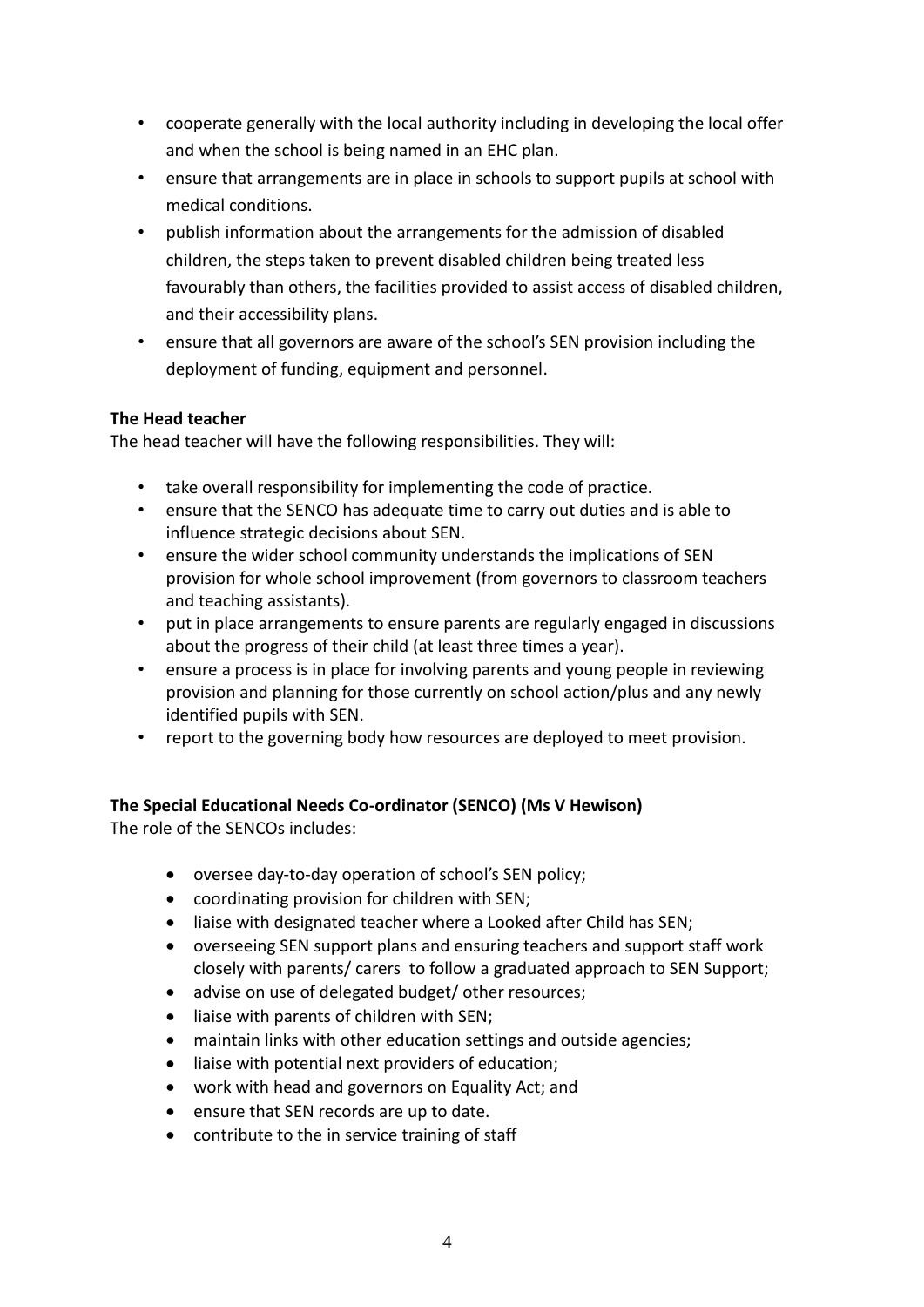- cooperate generally with the local authority including in developing the local offer and when the school is being named in an EHC plan.
- ensure that arrangements are in place in schools to support pupils at school with medical conditions.
- publish information about the arrangements for the admission of disabled children, the steps taken to prevent disabled children being treated less favourably than others, the facilities provided to assist access of disabled children, and their accessibility plans.
- ensure that all governors are aware of the school's SEN provision including the deployment of funding, equipment and personnel.

# **The Head teacher**

The head teacher will have the following responsibilities. They will:

- take overall responsibility for implementing the code of practice.
- ensure that the SENCO has adequate time to carry out duties and is able to influence strategic decisions about SEN.
- ensure the wider school community understands the implications of SEN provision for whole school improvement (from governors to classroom teachers and teaching assistants).
- put in place arrangements to ensure parents are regularly engaged in discussions about the progress of their child (at least three times a year).
- ensure a process is in place for involving parents and young people in reviewing provision and planning for those currently on school action/plus and any newly identified pupils with SEN.
- report to the governing body how resources are deployed to meet provision.

# **The Special Educational Needs Co-ordinator (SENCO) (Ms V Hewison)**

The role of the SENCOs includes:

- oversee day-to-day operation of school's SEN policy;
- coordinating provision for children with SEN;
- liaise with designated teacher where a Looked after Child has SEN;
- overseeing SEN support plans and ensuring teachers and support staff work closely with parents/ carers to follow a graduated approach to SEN Support;
- advise on use of delegated budget/ other resources;
- liaise with parents of children with SEN;
- maintain links with other education settings and outside agencies;
- liaise with potential next providers of education;
- work with head and governors on Equality Act; and
- ensure that SEN records are up to date.
- contribute to the in service training of staff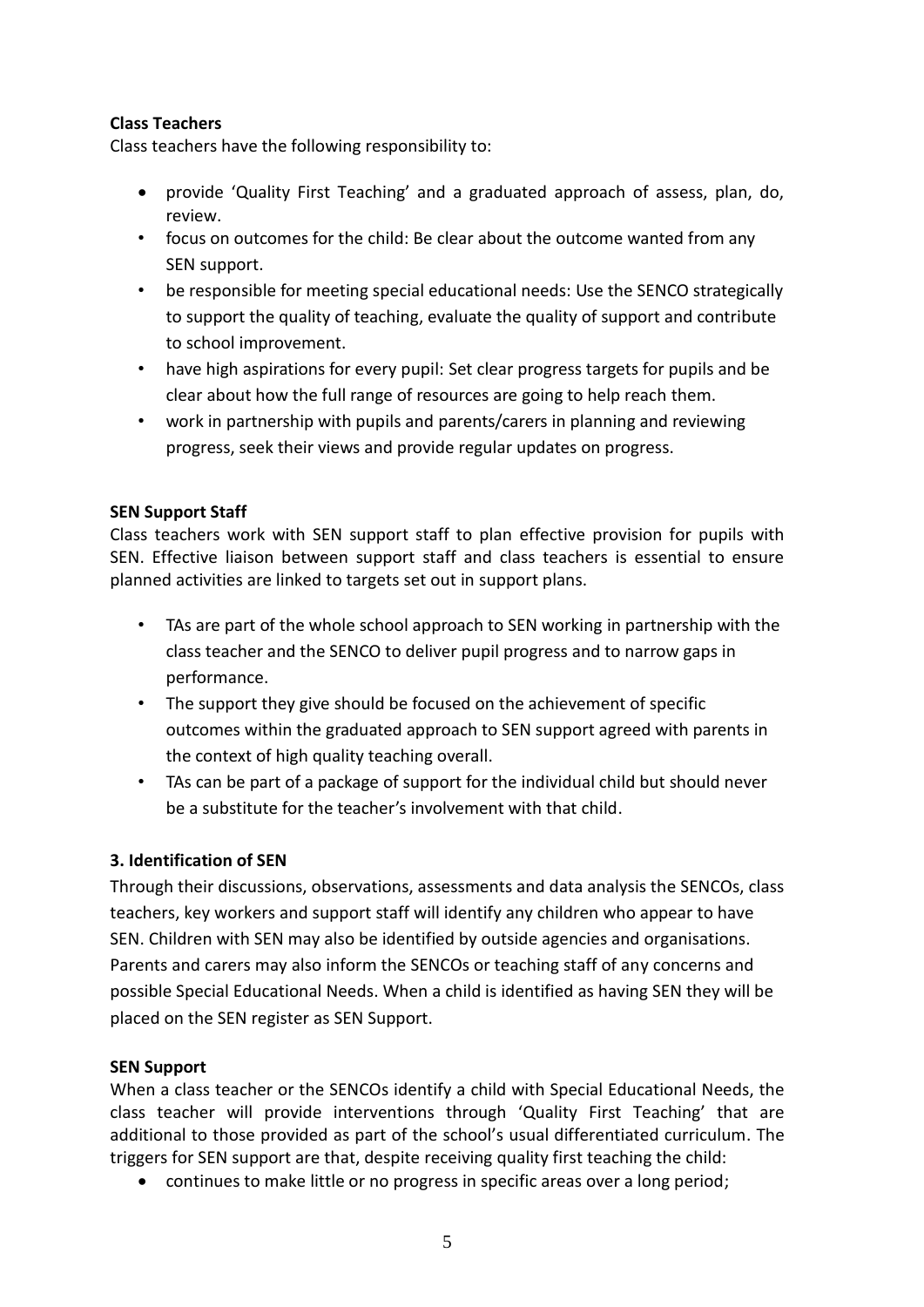# **Class Teachers**

Class teachers have the following responsibility to:

- provide 'Quality First Teaching' and a graduated approach of assess, plan, do, review.
- focus on outcomes for the child: Be clear about the outcome wanted from any SEN support.
- be responsible for meeting special educational needs: Use the SENCO strategically to support the quality of teaching, evaluate the quality of support and contribute to school improvement.
- have high aspirations for every pupil: Set clear progress targets for pupils and be clear about how the full range of resources are going to help reach them.
- work in partnership with pupils and parents/carers in planning and reviewing progress, seek their views and provide regular updates on progress.

# **SEN Support Staff**

Class teachers work with SEN support staff to plan effective provision for pupils with SEN. Effective liaison between support staff and class teachers is essential to ensure planned activities are linked to targets set out in support plans.

- TAs are part of the whole school approach to SEN working in partnership with the class teacher and the SENCO to deliver pupil progress and to narrow gaps in performance.
- The support they give should be focused on the achievement of specific outcomes within the graduated approach to SEN support agreed with parents in the context of high quality teaching overall.
- TAs can be part of a package of support for the individual child but should never be a substitute for the teacher's involvement with that child.

# **3. Identification of SEN**

Through their discussions, observations, assessments and data analysis the SENCOs, class teachers, key workers and support staff will identify any children who appear to have SEN. Children with SEN may also be identified by outside agencies and organisations. Parents and carers may also inform the SENCOs or teaching staff of any concerns and possible Special Educational Needs. When a child is identified as having SEN they will be placed on the SEN register as SEN Support.

#### **SEN Support**

When a class teacher or the SENCOs identify a child with Special Educational Needs, the class teacher will provide interventions through 'Quality First Teaching' that are additional to those provided as part of the school's usual differentiated curriculum. The triggers for SEN support are that, despite receiving quality first teaching the child:

• continues to make little or no progress in specific areas over a long period;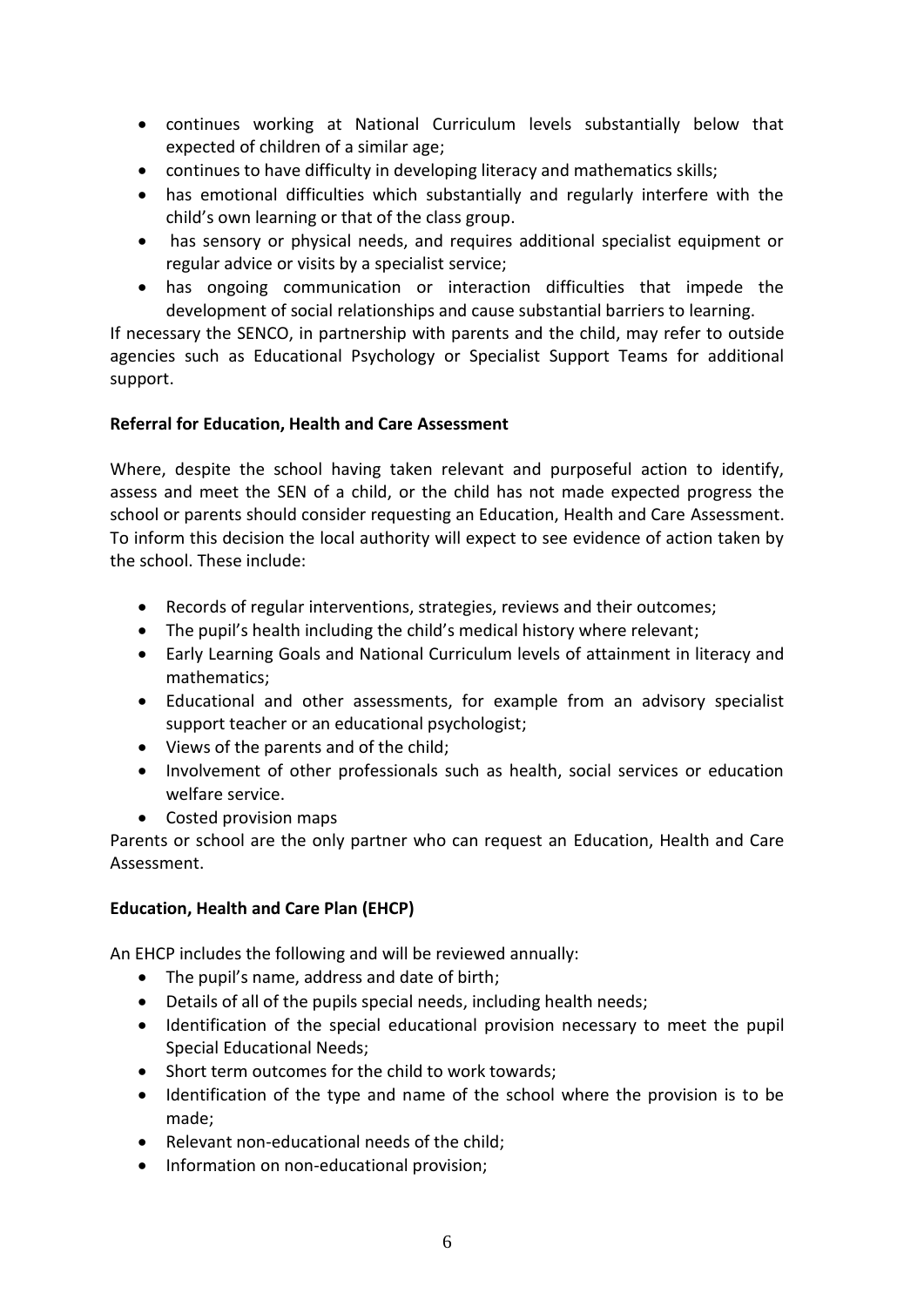- continues working at National Curriculum levels substantially below that expected of children of a similar age;
- continues to have difficulty in developing literacy and mathematics skills;
- has emotional difficulties which substantially and regularly interfere with the child's own learning or that of the class group.
- has sensory or physical needs, and requires additional specialist equipment or regular advice or visits by a specialist service;
- has ongoing communication or interaction difficulties that impede the development of social relationships and cause substantial barriers to learning.

If necessary the SENCO, in partnership with parents and the child, may refer to outside agencies such as Educational Psychology or Specialist Support Teams for additional support.

# **Referral for Education, Health and Care Assessment**

Where, despite the school having taken relevant and purposeful action to identify, assess and meet the SEN of a child, or the child has not made expected progress the school or parents should consider requesting an Education, Health and Care Assessment. To inform this decision the local authority will expect to see evidence of action taken by the school. These include:

- Records of regular interventions, strategies, reviews and their outcomes;
- The pupil's health including the child's medical history where relevant;
- Early Learning Goals and National Curriculum levels of attainment in literacy and mathematics;
- Educational and other assessments, for example from an advisory specialist support teacher or an educational psychologist;
- Views of the parents and of the child;
- Involvement of other professionals such as health, social services or education welfare service.
- Costed provision maps

Parents or school are the only partner who can request an Education, Health and Care Assessment.

# **Education, Health and Care Plan (EHCP)**

An EHCP includes the following and will be reviewed annually:

- The pupil's name, address and date of birth;
- Details of all of the pupils special needs, including health needs;
- Identification of the special educational provision necessary to meet the pupil Special Educational Needs;
- Short term outcomes for the child to work towards;
- Identification of the type and name of the school where the provision is to be made;
- Relevant non-educational needs of the child;
- Information on non-educational provision;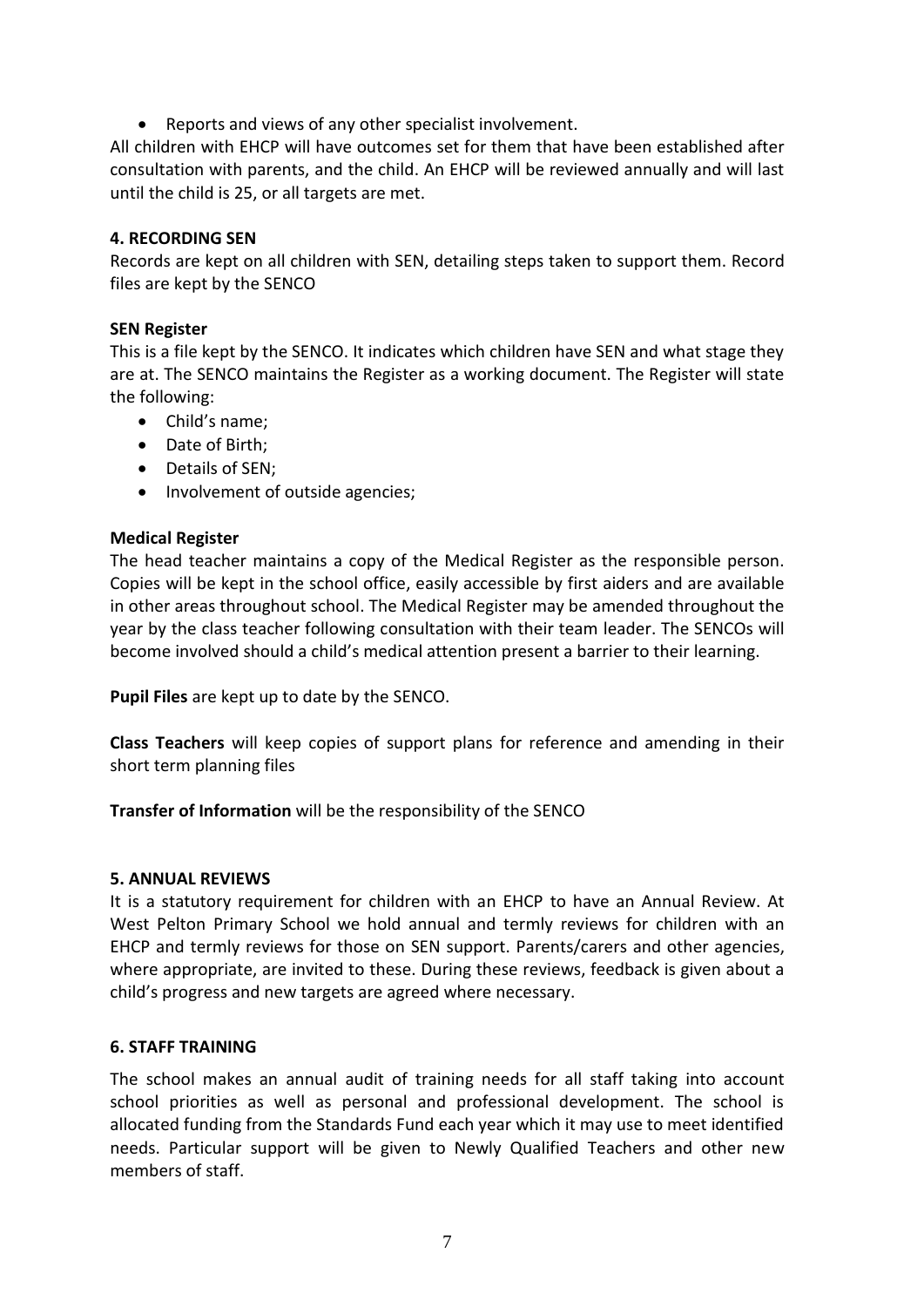• Reports and views of any other specialist involvement.

All children with EHCP will have outcomes set for them that have been established after consultation with parents, and the child. An EHCP will be reviewed annually and will last until the child is 25, or all targets are met.

#### **4. RECORDING SEN**

Records are kept on all children with SEN, detailing steps taken to support them. Record files are kept by the SENCO

#### **SEN Register**

This is a file kept by the SENCO. It indicates which children have SEN and what stage they are at. The SENCO maintains the Register as a working document. The Register will state the following:

- Child's name;
- Date of Birth;
- Details of SEN;
- Involvement of outside agencies;

#### **Medical Register**

The head teacher maintains a copy of the Medical Register as the responsible person. Copies will be kept in the school office, easily accessible by first aiders and are available in other areas throughout school. The Medical Register may be amended throughout the year by the class teacher following consultation with their team leader. The SENCOs will become involved should a child's medical attention present a barrier to their learning.

**Pupil Files** are kept up to date by the SENCO.

**Class Teachers** will keep copies of support plans for reference and amending in their short term planning files

**Transfer of Information** will be the responsibility of the SENCO

#### **5. ANNUAL REVIEWS**

It is a statutory requirement for children with an EHCP to have an Annual Review. At West Pelton Primary School we hold annual and termly reviews for children with an EHCP and termly reviews for those on SEN support. Parents/carers and other agencies, where appropriate, are invited to these. During these reviews, feedback is given about a child's progress and new targets are agreed where necessary.

#### **6. STAFF TRAINING**

The school makes an annual audit of training needs for all staff taking into account school priorities as well as personal and professional development. The school is allocated funding from the Standards Fund each year which it may use to meet identified needs. Particular support will be given to Newly Qualified Teachers and other new members of staff.